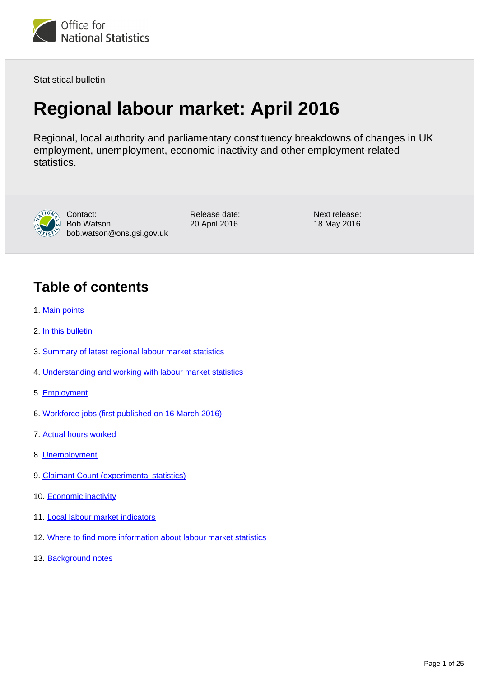

Statistical bulletin

# **Regional labour market: April 2016**

Regional, local authority and parliamentary constituency breakdowns of changes in UK employment, unemployment, economic inactivity and other employment-related statistics.



Contact: Bob Watson bob.watson@ons.gsi.gov.uk Release date: 20 April 2016

Next release: 18 May 2016

## **Table of contents**

- 1. [Main points](#page-1-0)
- 2. [In this bulletin](#page-1-1)
- 3. [Summary of latest regional labour market statistics](#page-2-0)
- 4. [Understanding and working with labour market statistics](#page-3-0)
- 5. [Employment](#page-6-0)
- 6. [Workforce jobs \(first published on 16 March 2016\)](#page-7-0)
- 7. [Actual hours worked](#page-10-0)
- 8. [Unemployment](#page-12-0)
- 9. [Claimant Count \(experimental statistics\)](#page-13-0)
- 10. [Economic inactivity](#page-17-0)
- 11. [Local labour market indicators](#page-18-0)
- 12. [Where to find more information about labour market statistics](#page-21-0)
- 13. [Background notes](#page-22-0)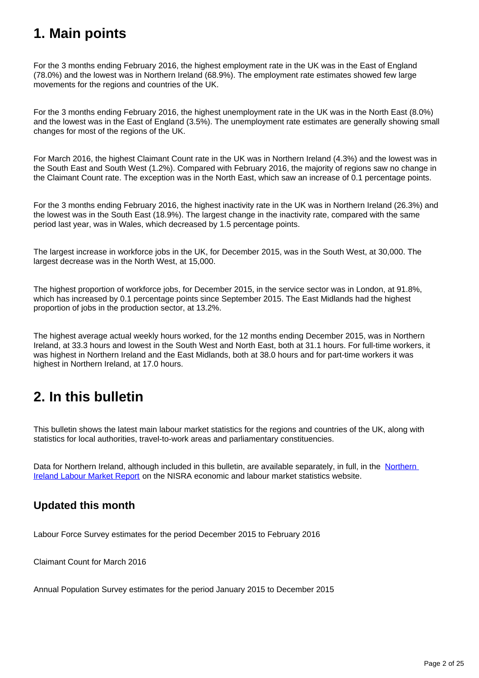## <span id="page-1-0"></span>**1. Main points**

For the 3 months ending February 2016, the highest employment rate in the UK was in the East of England (78.0%) and the lowest was in Northern Ireland (68.9%). The employment rate estimates showed few large movements for the regions and countries of the UK.

For the 3 months ending February 2016, the highest unemployment rate in the UK was in the North East (8.0%) and the lowest was in the East of England (3.5%). The unemployment rate estimates are generally showing small changes for most of the regions of the UK.

For March 2016, the highest Claimant Count rate in the UK was in Northern Ireland (4.3%) and the lowest was in the South East and South West (1.2%). Compared with February 2016, the majority of regions saw no change in the Claimant Count rate. The exception was in the North East, which saw an increase of 0.1 percentage points.

For the 3 months ending February 2016, the highest inactivity rate in the UK was in Northern Ireland (26.3%) and the lowest was in the South East (18.9%). The largest change in the inactivity rate, compared with the same period last year, was in Wales, which decreased by 1.5 percentage points.

The largest increase in workforce jobs in the UK, for December 2015, was in the South West, at 30,000. The largest decrease was in the North West, at 15,000.

The highest proportion of workforce jobs, for December 2015, in the service sector was in London, at 91.8%, which has increased by 0.1 percentage points since September 2015. The East Midlands had the highest proportion of jobs in the production sector, at 13.2%.

The highest average actual weekly hours worked, for the 12 months ending December 2015, was in Northern Ireland, at 33.3 hours and lowest in the South West and North East, both at 31.1 hours. For full-time workers, it was highest in Northern Ireland and the East Midlands, both at 38.0 hours and for part-time workers it was highest in Northern Ireland, at 17.0 hours.

## <span id="page-1-1"></span>**2. In this bulletin**

This bulletin shows the latest main labour market statistics for the regions and countries of the UK, along with statistics for local authorities, travel-to-work areas and parliamentary constituencies.

Data for [Northern](http://www.detini.gov.uk/index/what-we-do/deti-stats-index/labour_market_statistics.htm) Ireland, although included in this bulletin, are available separately, in full, in the Northern [Ireland Labour Market Report](http://www.detini.gov.uk/index/what-we-do/deti-stats-index/labour_market_statistics.htm) on the NISRA economic and labour market statistics website.

## **Updated this month**

Labour Force Survey estimates for the period December 2015 to February 2016

Claimant Count for March 2016

Annual Population Survey estimates for the period January 2015 to December 2015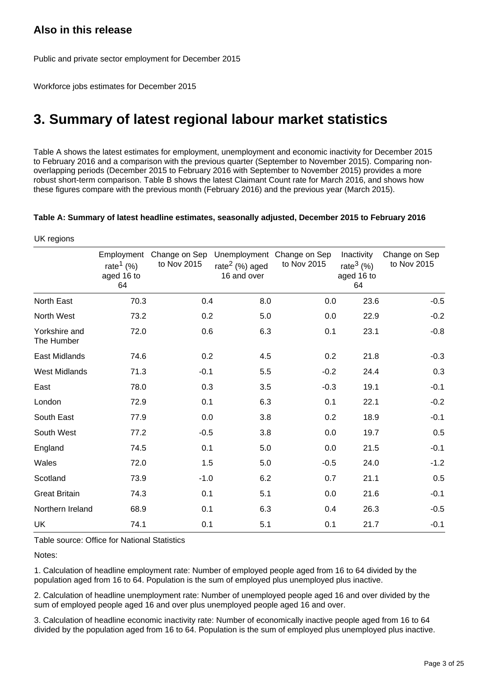## **Also in this release**

UK regions

Public and private sector employment for December 2015

Workforce jobs estimates for December 2015

## <span id="page-2-0"></span>**3. Summary of latest regional labour market statistics**

Table A shows the latest estimates for employment, unemployment and economic inactivity for December 2015 to February 2016 and a comparison with the previous quarter (September to November 2015). Comparing nonoverlapping periods (December 2015 to February 2016 with September to November 2015) provides a more robust short-term comparison. Table B shows the latest Claimant Count rate for March 2016, and shows how these figures compare with the previous month (February 2016) and the previous year (March 2015).

#### **Table A: Summary of latest headline estimates, seasonally adjusted, December 2015 to February 2016**

|                             | Employment<br>rate <sup>1</sup> (%)<br>aged 16 to<br>64 | Change on Sep<br>to Nov 2015 | rate $2$ (%) aged<br>16 and over | Unemployment Change on Sep<br>to Nov 2015 | Inactivity<br>rate <sup>3</sup> $(\%)$<br>aged 16 to<br>64 | Change on Sep<br>to Nov 2015 |
|-----------------------------|---------------------------------------------------------|------------------------------|----------------------------------|-------------------------------------------|------------------------------------------------------------|------------------------------|
| North East                  | 70.3                                                    | 0.4                          | 8.0                              | 0.0                                       | 23.6                                                       | $-0.5$                       |
| North West                  | 73.2                                                    | 0.2                          | 5.0                              | 0.0                                       | 22.9                                                       | $-0.2$                       |
| Yorkshire and<br>The Humber | 72.0                                                    | 0.6                          | 6.3                              | 0.1                                       | 23.1                                                       | $-0.8$                       |
| <b>East Midlands</b>        | 74.6                                                    | 0.2                          | 4.5                              | 0.2                                       | 21.8                                                       | $-0.3$                       |
| <b>West Midlands</b>        | 71.3                                                    | $-0.1$                       | 5.5                              | $-0.2$                                    | 24.4                                                       | 0.3                          |
| East                        | 78.0                                                    | 0.3                          | 3.5                              | $-0.3$                                    | 19.1                                                       | $-0.1$                       |
| London                      | 72.9                                                    | 0.1                          | 6.3                              | 0.1                                       | 22.1                                                       | $-0.2$                       |
| South East                  | 77.9                                                    | 0.0                          | 3.8                              | 0.2                                       | 18.9                                                       | $-0.1$                       |
| South West                  | 77.2                                                    | $-0.5$                       | 3.8                              | 0.0                                       | 19.7                                                       | 0.5                          |
| England                     | 74.5                                                    | 0.1                          | 5.0                              | 0.0                                       | 21.5                                                       | $-0.1$                       |
| Wales                       | 72.0                                                    | 1.5                          | 5.0                              | $-0.5$                                    | 24.0                                                       | $-1.2$                       |
| Scotland                    | 73.9                                                    | $-1.0$                       | 6.2                              | 0.7                                       | 21.1                                                       | 0.5                          |
| <b>Great Britain</b>        | 74.3                                                    | 0.1                          | 5.1                              | 0.0                                       | 21.6                                                       | $-0.1$                       |
| Northern Ireland            | 68.9                                                    | 0.1                          | 6.3                              | 0.4                                       | 26.3                                                       | $-0.5$                       |
| <b>UK</b>                   | 74.1                                                    | 0.1                          | 5.1                              | 0.1                                       | 21.7                                                       | $-0.1$                       |

Table source: Office for National Statistics

Notes:

1. Calculation of headline employment rate: Number of employed people aged from 16 to 64 divided by the population aged from 16 to 64. Population is the sum of employed plus unemployed plus inactive.

2. Calculation of headline unemployment rate: Number of unemployed people aged 16 and over divided by the sum of employed people aged 16 and over plus unemployed people aged 16 and over.

3. Calculation of headline economic inactivity rate: Number of economically inactive people aged from 16 to 64 divided by the population aged from 16 to 64. Population is the sum of employed plus unemployed plus inactive.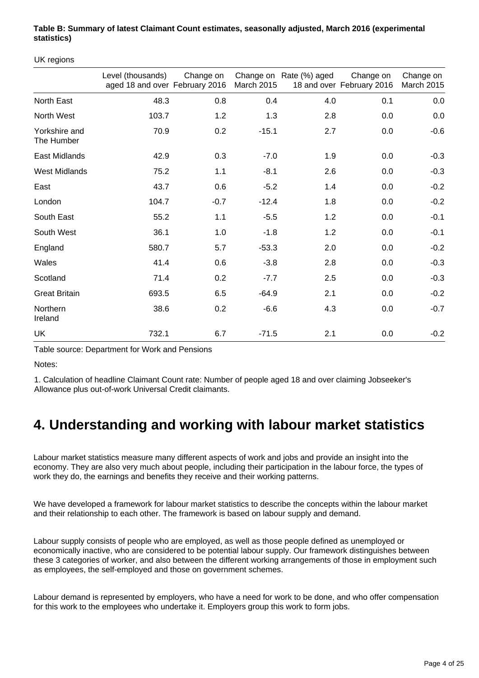#### **Table B: Summary of latest Claimant Count estimates, seasonally adjusted, March 2016 (experimental statistics)**

UK regions

|                             | Level (thousands)<br>aged 18 and over February 2016 | Change on | <b>March 2015</b> | Change on Rate (%) aged | Change on<br>18 and over February 2016 | Change on<br><b>March 2015</b> |
|-----------------------------|-----------------------------------------------------|-----------|-------------------|-------------------------|----------------------------------------|--------------------------------|
| North East                  | 48.3                                                | 0.8       | 0.4               | 4.0                     | 0.1                                    | 0.0                            |
| North West                  | 103.7                                               | 1.2       | 1.3               | 2.8                     | 0.0                                    | 0.0                            |
| Yorkshire and<br>The Humber | 70.9                                                | 0.2       | $-15.1$           | 2.7                     | 0.0                                    | $-0.6$                         |
| <b>East Midlands</b>        | 42.9                                                | 0.3       | $-7.0$            | 1.9                     | 0.0                                    | $-0.3$                         |
| <b>West Midlands</b>        | 75.2                                                | 1.1       | $-8.1$            | 2.6                     | 0.0                                    | $-0.3$                         |
| East                        | 43.7                                                | 0.6       | $-5.2$            | 1.4                     | 0.0                                    | $-0.2$                         |
| London                      | 104.7                                               | $-0.7$    | $-12.4$           | 1.8                     | 0.0                                    | $-0.2$                         |
| South East                  | 55.2                                                | 1.1       | $-5.5$            | 1.2                     | 0.0                                    | $-0.1$                         |
| South West                  | 36.1                                                | 1.0       | $-1.8$            | 1.2                     | 0.0                                    | $-0.1$                         |
| England                     | 580.7                                               | 5.7       | $-53.3$           | 2.0                     | 0.0                                    | $-0.2$                         |
| Wales                       | 41.4                                                | 0.6       | $-3.8$            | 2.8                     | 0.0                                    | $-0.3$                         |
| Scotland                    | 71.4                                                | 0.2       | $-7.7$            | 2.5                     | 0.0                                    | $-0.3$                         |
| <b>Great Britain</b>        | 693.5                                               | 6.5       | $-64.9$           | 2.1                     | 0.0                                    | $-0.2$                         |
| Northern<br>Ireland         | 38.6                                                | 0.2       | $-6.6$            | 4.3                     | 0.0                                    | $-0.7$                         |
| UK                          | 732.1                                               | 6.7       | $-71.5$           | 2.1                     | 0.0                                    | $-0.2$                         |

Table source: Department for Work and Pensions

Notes:

1. Calculation of headline Claimant Count rate: Number of people aged 18 and over claiming Jobseeker's Allowance plus out-of-work Universal Credit claimants.

## <span id="page-3-0"></span>**4. Understanding and working with labour market statistics**

Labour market statistics measure many different aspects of work and jobs and provide an insight into the economy. They are also very much about people, including their participation in the labour force, the types of work they do, the earnings and benefits they receive and their working patterns.

We have developed a framework for labour market statistics to describe the concepts within the labour market and their relationship to each other. The framework is based on labour supply and demand.

Labour supply consists of people who are employed, as well as those people defined as unemployed or economically inactive, who are considered to be potential labour supply. Our framework distinguishes between these 3 categories of worker, and also between the different working arrangements of those in employment such as employees, the self-employed and those on government schemes.

Labour demand is represented by employers, who have a need for work to be done, and who offer compensation for this work to the employees who undertake it. Employers group this work to form jobs.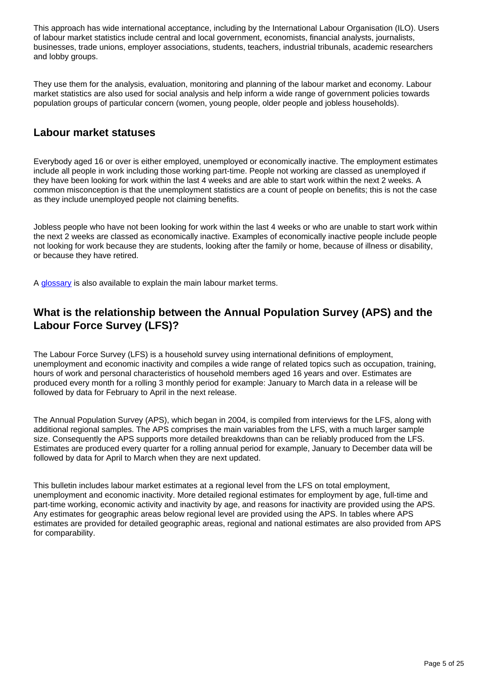This approach has wide international acceptance, including by the International Labour Organisation (ILO). Users of labour market statistics include central and local government, economists, financial analysts, journalists, businesses, trade unions, employer associations, students, teachers, industrial tribunals, academic researchers and lobby groups.

They use them for the analysis, evaluation, monitoring and planning of the labour market and economy. Labour market statistics are also used for social analysis and help inform a wide range of government policies towards population groups of particular concern (women, young people, older people and jobless households).

#### **Labour market statuses**

Everybody aged 16 or over is either employed, unemployed or economically inactive. The employment estimates include all people in work including those working part-time. People not working are classed as unemployed if they have been looking for work within the last 4 weeks and are able to start work within the next 2 weeks. A common misconception is that the unemployment statistics are a count of people on benefits; this is not the case as they include unemployed people not claiming benefits.

Jobless people who have not been looking for work within the last 4 weeks or who are unable to start work within the next 2 weeks are classed as economically inactive. Examples of economically inactive people include people not looking for work because they are students, looking after the family or home, because of illness or disability, or because they have retired.

A [glossary](http://www.ons.gov.uk/employmentandlabourmarket/peopleinwork/employmentandemployeetypes/methodologies/glossaryoflabourmarketterms) is also available to explain the main labour market terms.

### **What is the relationship between the Annual Population Survey (APS) and the Labour Force Survey (LFS)?**

The Labour Force Survey (LFS) is a household survey using international definitions of employment, unemployment and economic inactivity and compiles a wide range of related topics such as occupation, training, hours of work and personal characteristics of household members aged 16 years and over. Estimates are produced every month for a rolling 3 monthly period for example: January to March data in a release will be followed by data for February to April in the next release.

The Annual Population Survey (APS), which began in 2004, is compiled from interviews for the LFS, along with additional regional samples. The APS comprises the main variables from the LFS, with a much larger sample size. Consequently the APS supports more detailed breakdowns than can be reliably produced from the LFS. Estimates are produced every quarter for a rolling annual period for example, January to December data will be followed by data for April to March when they are next updated.

This bulletin includes labour market estimates at a regional level from the LFS on total employment, unemployment and economic inactivity. More detailed regional estimates for employment by age, full-time and part-time working, economic activity and inactivity by age, and reasons for inactivity are provided using the APS. Any estimates for geographic areas below regional level are provided using the APS. In tables where APS estimates are provided for detailed geographic areas, regional and national estimates are also provided from APS for comparability.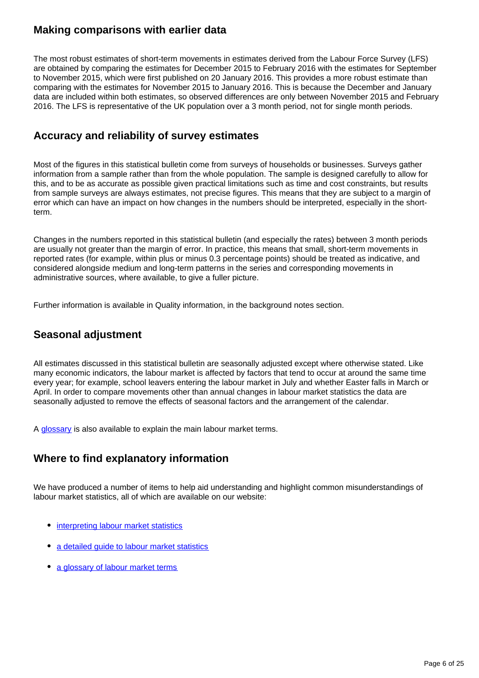#### **Making comparisons with earlier data**

The most robust estimates of short-term movements in estimates derived from the Labour Force Survey (LFS) are obtained by comparing the estimates for December 2015 to February 2016 with the estimates for September to November 2015, which were first published on 20 January 2016. This provides a more robust estimate than comparing with the estimates for November 2015 to January 2016. This is because the December and January data are included within both estimates, so observed differences are only between November 2015 and February 2016. The LFS is representative of the UK population over a 3 month period, not for single month periods.

#### **Accuracy and reliability of survey estimates**

Most of the figures in this statistical bulletin come from surveys of households or businesses. Surveys gather information from a sample rather than from the whole population. The sample is designed carefully to allow for this, and to be as accurate as possible given practical limitations such as time and cost constraints, but results from sample surveys are always estimates, not precise figures. This means that they are subject to a margin of error which can have an impact on how changes in the numbers should be interpreted, especially in the shortterm.

Changes in the numbers reported in this statistical bulletin (and especially the rates) between 3 month periods are usually not greater than the margin of error. In practice, this means that small, short-term movements in reported rates (for example, within plus or minus 0.3 percentage points) should be treated as indicative, and considered alongside medium and long-term patterns in the series and corresponding movements in administrative sources, where available, to give a fuller picture.

Further information is available in Quality information, in the background notes section.

### **Seasonal adjustment**

All estimates discussed in this statistical bulletin are seasonally adjusted except where otherwise stated. Like many economic indicators, the labour market is affected by factors that tend to occur at around the same time every year; for example, school leavers entering the labour market in July and whether Easter falls in March or April. In order to compare movements other than annual changes in labour market statistics the data are seasonally adjusted to remove the effects of seasonal factors and the arrangement of the calendar.

A [glossary](http://www.ons.gov.uk/employmentandlabourmarket/peopleinwork/employmentandemployeetypes/methodologies/glossaryoflabourmarketterms) is also available to explain the main labour market terms.

### **Where to find explanatory information**

We have produced a number of items to help aid understanding and highlight common misunderstandings of labour market statistics, all of which are available on our website:

- [interpreting labour market statistics](http://www.ons.gov.uk/ons/rel/lms/labour-market-guidance/interpreting-labour-market-statistics/interpreting-lm-statistics.html)
- [a detailed guide to labour market statistics](https://www.ons.gov.uk/employmentandlabourmarket/peopleinwork/employmentandemployeetypes/methodologies/aguidetolabourmarketstatistics)
- [a glossary of labour market terms](http://www.ons.gov.uk/employmentandlabourmarket/peopleinwork/employmentandemployeetypes/methodologies/glossaryoflabourmarketterms)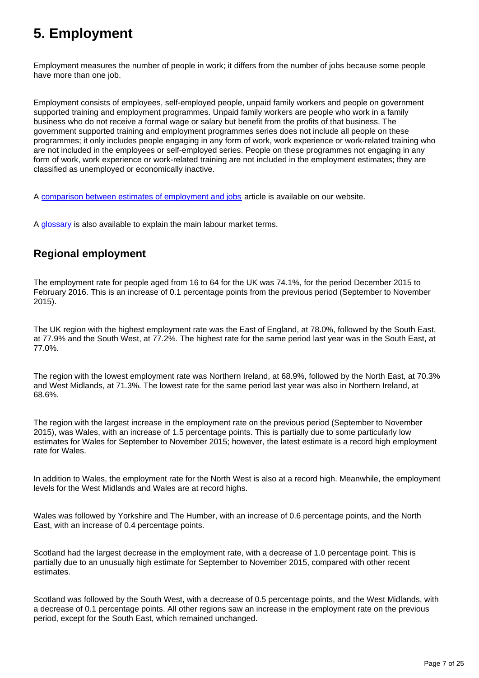## <span id="page-6-0"></span>**5. Employment**

Employment measures the number of people in work; it differs from the number of jobs because some people have more than one job.

Employment consists of employees, self-employed people, unpaid family workers and people on government supported training and employment programmes. Unpaid family workers are people who work in a family business who do not receive a formal wage or salary but benefit from the profits of that business. The government supported training and employment programmes series does not include all people on these programmes; it only includes people engaging in any form of work, work experience or work-related training who are not included in the employees or self-employed series. People on these programmes not engaging in any form of work, work experience or work-related training are not included in the employment estimates; they are classified as unemployed or economically inactive.

A [comparison between estimates of employment and jobs](http://www.ons.gov.uk/employmentandlabourmarket/peopleinwork/employmentandemployeetypes/articles/reconciliationofestimatesofjobs/latest) article is available on our website.

A [glossary](http://www.ons.gov.uk/employmentandlabourmarket/peopleinwork/employmentandemployeetypes/methodologies/glossaryoflabourmarketterms) is also available to explain the main labour market terms.

## **Regional employment**

The employment rate for people aged from 16 to 64 for the UK was 74.1%, for the period December 2015 to February 2016. This is an increase of 0.1 percentage points from the previous period (September to November 2015).

The UK region with the highest employment rate was the East of England, at 78.0%, followed by the South East, at 77.9% and the South West, at 77.2%. The highest rate for the same period last year was in the South East, at 77.0%.

The region with the lowest employment rate was Northern Ireland, at 68.9%, followed by the North East, at 70.3% and West Midlands, at 71.3%. The lowest rate for the same period last year was also in Northern Ireland, at 68.6%.

The region with the largest increase in the employment rate on the previous period (September to November 2015), was Wales, with an increase of 1.5 percentage points. This is partially due to some particularly low estimates for Wales for September to November 2015; however, the latest estimate is a record high employment rate for Wales.

In addition to Wales, the employment rate for the North West is also at a record high. Meanwhile, the employment levels for the West Midlands and Wales are at record highs.

Wales was followed by Yorkshire and The Humber, with an increase of 0.6 percentage points, and the North East, with an increase of 0.4 percentage points.

Scotland had the largest decrease in the employment rate, with a decrease of 1.0 percentage point. This is partially due to an unusually high estimate for September to November 2015, compared with other recent estimates.

Scotland was followed by the South West, with a decrease of 0.5 percentage points, and the West Midlands, with a decrease of 0.1 percentage points. All other regions saw an increase in the employment rate on the previous period, except for the South East, which remained unchanged.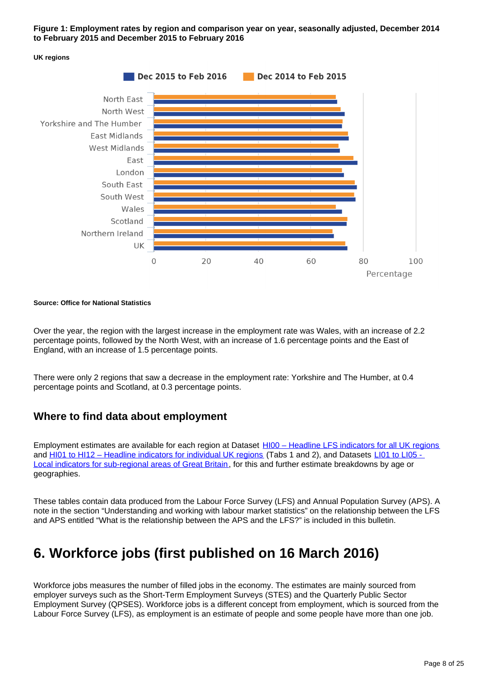**Figure 1: Employment rates by region and comparison year on year, seasonally adjusted, December 2014 to February 2015 and December 2015 to February 2016**



#### **UK regions**

#### **Source: Office for National Statistics**

Over the year, the region with the largest increase in the employment rate was Wales, with an increase of 2.2 percentage points, followed by the North West, with an increase of 1.6 percentage points and the East of England, with an increase of 1.5 percentage points.

There were only 2 regions that saw a decrease in the employment rate: Yorkshire and The Humber, at 0.4 percentage points and Scotland, at 0.3 percentage points.

#### **Where to find data about employment**

Employment estimates are available for each region at Dataset [HI00 – Headline LFS indicators for all UK regions](http://www.ons.gov.uk/employmentandlabourmarket/peopleinwork/employmentandemployeetypes/datasets/headlinelabourforcesurveyindicatorsforallregionshi00) and [HI01 to HI12 – Headline indicators for individual UK regions](http://www.ons.gov.uk/employmentandlabourmarket/peopleinwork/employmentandemployeetypes/bulletins/regionallabourmarket/april2016/relateddata) (Tabs 1 and 2), and Datasets LI01 to LI05 -[Local indicators for sub-regional areas of Great Britain](http://www.ons.gov.uk/employmentandlabourmarket/peopleinwork/employmentandemployeetypes/bulletins/regionallabourmarket/april2016/relateddata), for this and further estimate breakdowns by age or geographies.

These tables contain data produced from the Labour Force Survey (LFS) and Annual Population Survey (APS). A note in the section "Understanding and working with labour market statistics" on the relationship between the LFS and APS entitled "What is the relationship between the APS and the LFS?" is included in this bulletin.

## <span id="page-7-0"></span>**6. Workforce jobs (first published on 16 March 2016)**

Workforce jobs measures the number of filled jobs in the economy. The estimates are mainly sourced from employer surveys such as the Short-Term Employment Surveys (STES) and the Quarterly Public Sector Employment Survey (QPSES). Workforce jobs is a different concept from employment, which is sourced from the Labour Force Survey (LFS), as employment is an estimate of people and some people have more than one job.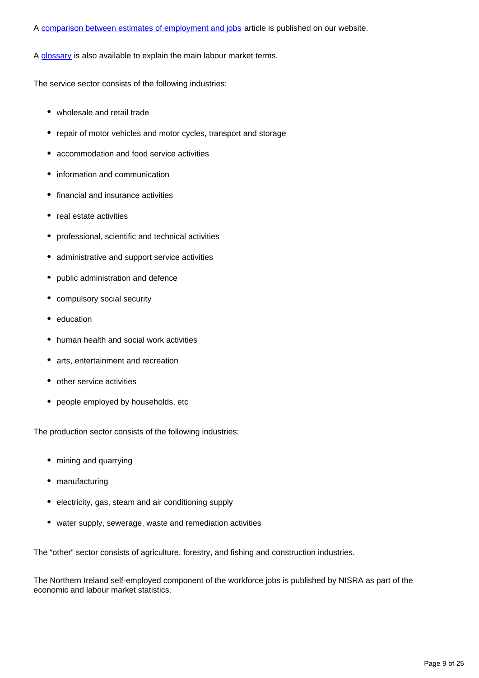#### A [comparison between estimates of employment and jobs](http://www.ons.gov.uk/employmentandlabourmarket/peopleinwork/employmentandemployeetypes/articles/reconciliationofestimatesofjobs/latest) article is published on our website.

A [glossary](http://www.ons.gov.uk/employmentandlabourmarket/peopleinwork/employmentandemployeetypes/methodologies/glossaryoflabourmarketterms) is also available to explain the main labour market terms.

The service sector consists of the following industries:

- wholesale and retail trade
- repair of motor vehicles and motor cycles, transport and storage
- accommodation and food service activities
- information and communication
- financial and insurance activities
- real estate activities
- professional, scientific and technical activities
- administrative and support service activities
- public administration and defence
- compulsory social security
- education
- human health and social work activities
- arts, entertainment and recreation
- other service activities
- people employed by households, etc

The production sector consists of the following industries:

- mining and quarrying
- manufacturing
- electricity, gas, steam and air conditioning supply
- water supply, sewerage, waste and remediation activities

The "other" sector consists of agriculture, forestry, and fishing and construction industries.

The Northern Ireland self-employed component of the workforce jobs is published by NISRA as part of the economic and labour market statistics.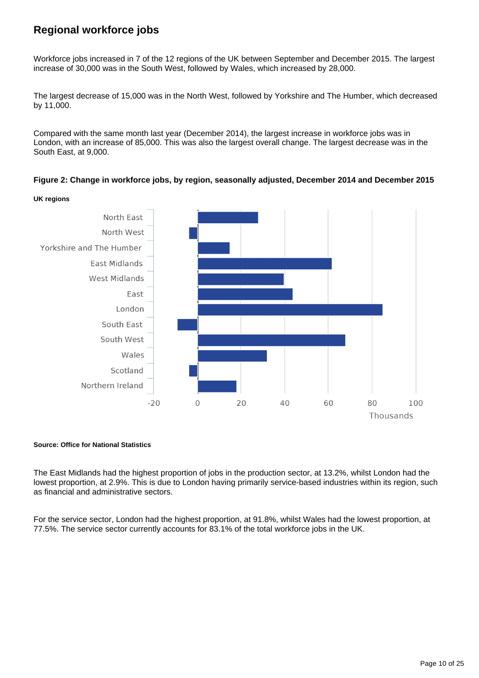## **Regional workforce jobs**

Workforce jobs increased in 7 of the 12 regions of the UK between September and December 2015. The largest increase of 30,000 was in the South West, followed by Wales, which increased by 28,000.

The largest decrease of 15,000 was in the North West, followed by Yorkshire and The Humber, which decreased by 11,000.

Compared with the same month last year (December 2014), the largest increase in workforce jobs was in London, with an increase of 85,000. This was also the largest overall change. The largest decrease was in the South East, at 9,000.

**Figure 2: Change in workforce jobs, by region, seasonally adjusted, December 2014 and December 2015**



#### **Source: Office for National Statistics**

The East Midlands had the highest proportion of jobs in the production sector, at 13.2%, whilst London had the lowest proportion, at 2.9%. This is due to London having primarily service-based industries within its region, such as financial and administrative sectors.

For the service sector, London had the highest proportion, at 91.8%, whilst Wales had the lowest proportion, at 77.5%. The service sector currently accounts for 83.1% of the total workforce jobs in the UK.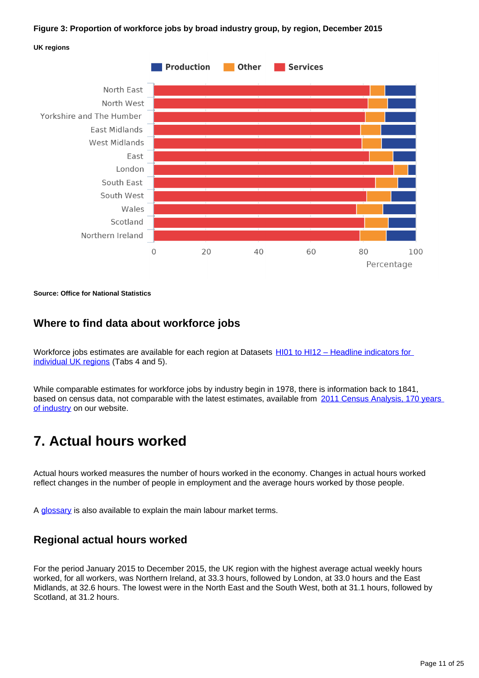#### **Figure 3: Proportion of workforce jobs by broad industry group, by region, December 2015**





**Source: Office for National Statistics**

#### **Where to find data about workforce jobs**

Workforce jobs estimates are available for each region at Datasets HI01 to HI12 - Headline indicators for [individual UK regions](http://www.ons.gov.uk/employmentandlabourmarket/peopleinwork/employmentandemployeetypes/bulletins/regionallabourmarket/april2016/relateddata) (Tabs 4 and 5).

While comparable estimates for workforce jobs by industry begin in 1978, there is information back to 1841, based on census data, not comparable with the latest estimates, available from 2011 Census Analysis, 170 years [of industry](http://www.ons.gov.uk/ons/rel/census/2011-census-analysis/170-years-of-industry/index.html) on our website.

## <span id="page-10-0"></span>**7. Actual hours worked**

Actual hours worked measures the number of hours worked in the economy. Changes in actual hours worked reflect changes in the number of people in employment and the average hours worked by those people.

A [glossary](http://www.ons.gov.uk/employmentandlabourmarket/peopleinwork/employmentandemployeetypes/methodologies/glossaryoflabourmarketterms) is also available to explain the main labour market terms.

#### **Regional actual hours worked**

For the period January 2015 to December 2015, the UK region with the highest average actual weekly hours worked, for all workers, was Northern Ireland, at 33.3 hours, followed by London, at 33.0 hours and the East Midlands, at 32.6 hours. The lowest were in the North East and the South West, both at 31.1 hours, followed by Scotland, at 31.2 hours.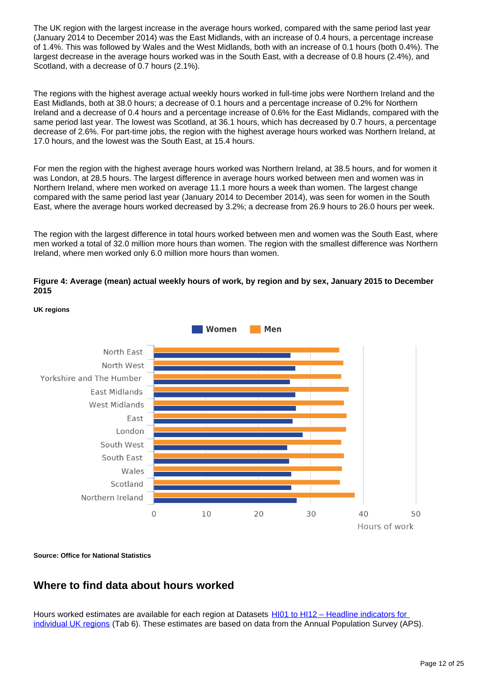The UK region with the largest increase in the average hours worked, compared with the same period last year (January 2014 to December 2014) was the East Midlands, with an increase of 0.4 hours, a percentage increase of 1.4%. This was followed by Wales and the West Midlands, both with an increase of 0.1 hours (both 0.4%). The largest decrease in the average hours worked was in the South East, with a decrease of 0.8 hours (2.4%), and Scotland, with a decrease of 0.7 hours (2.1%).

The regions with the highest average actual weekly hours worked in full-time jobs were Northern Ireland and the East Midlands, both at 38.0 hours; a decrease of 0.1 hours and a percentage increase of 0.2% for Northern Ireland and a decrease of 0.4 hours and a percentage increase of 0.6% for the East Midlands, compared with the same period last year. The lowest was Scotland, at 36.1 hours, which has decreased by 0.7 hours, a percentage decrease of 2.6%. For part-time jobs, the region with the highest average hours worked was Northern Ireland, at 17.0 hours, and the lowest was the South East, at 15.4 hours.

For men the region with the highest average hours worked was Northern Ireland, at 38.5 hours, and for women it was London, at 28.5 hours. The largest difference in average hours worked between men and women was in Northern Ireland, where men worked on average 11.1 more hours a week than women. The largest change compared with the same period last year (January 2014 to December 2014), was seen for women in the South East, where the average hours worked decreased by 3.2%; a decrease from 26.9 hours to 26.0 hours per week.

The region with the largest difference in total hours worked between men and women was the South East, where men worked a total of 32.0 million more hours than women. The region with the smallest difference was Northern Ireland, where men worked only 6.0 million more hours than women.

#### **Figure 4: Average (mean) actual weekly hours of work, by region and by sex, January 2015 to December 2015**



#### **UK regions**

**Source: Office for National Statistics**

### **Where to find data about hours worked**

Hours worked estimates are available for each region at Datasets [HI01 to HI12 – Headline indicators for](http://www.ons.gov.uk/employmentandlabourmarket/peopleinwork/employmentandemployeetypes/bulletins/regionallabourmarket/april2016/relateddata)  [individual UK regions](http://www.ons.gov.uk/employmentandlabourmarket/peopleinwork/employmentandemployeetypes/bulletins/regionallabourmarket/april2016/relateddata) (Tab 6). These estimates are based on data from the Annual Population Survey (APS).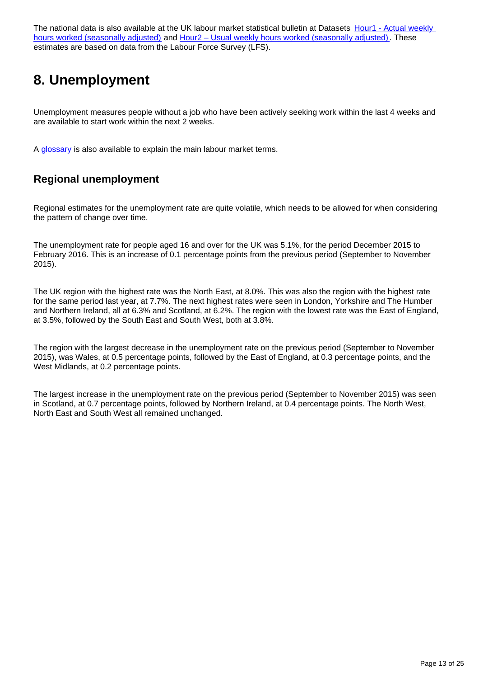The national data is also available at the UK labour market statistical bulletin at Datasets Hour1 - Actual weekly [hours worked \(seasonally adjusted\)](http://www.ons.gov.uk/employmentandlabourmarket/peopleinwork/earningsandworkinghours/datasets/actualweeklyhoursworkedseasonallyadjustedhour01sa) and [Hour2 – Usual weekly hours worked \(seasonally adjusted\)](http://www.ons.gov.uk/employmentandlabourmarket/peopleinwork/earningsandworkinghours/datasets/usualweeklyhoursworkedseasonallyadjustedhour02sa). These estimates are based on data from the Labour Force Survey (LFS).

## <span id="page-12-0"></span>**8. Unemployment**

Unemployment measures people without a job who have been actively seeking work within the last 4 weeks and are available to start work within the next 2 weeks.

A [glossary](http://www.ons.gov.uk/employmentandlabourmarket/peopleinwork/employmentandemployeetypes/methodologies/glossaryoflabourmarketterms) is also available to explain the main labour market terms.

## **Regional unemployment**

Regional estimates for the unemployment rate are quite volatile, which needs to be allowed for when considering the pattern of change over time.

The unemployment rate for people aged 16 and over for the UK was 5.1%, for the period December 2015 to February 2016. This is an increase of 0.1 percentage points from the previous period (September to November 2015).

The UK region with the highest rate was the North East, at 8.0%. This was also the region with the highest rate for the same period last year, at 7.7%. The next highest rates were seen in London, Yorkshire and The Humber and Northern Ireland, all at 6.3% and Scotland, at 6.2%. The region with the lowest rate was the East of England, at 3.5%, followed by the South East and South West, both at 3.8%.

The region with the largest decrease in the unemployment rate on the previous period (September to November 2015), was Wales, at 0.5 percentage points, followed by the East of England, at 0.3 percentage points, and the West Midlands, at 0.2 percentage points.

The largest increase in the unemployment rate on the previous period (September to November 2015) was seen in Scotland, at 0.7 percentage points, followed by Northern Ireland, at 0.4 percentage points. The North West, North East and South West all remained unchanged.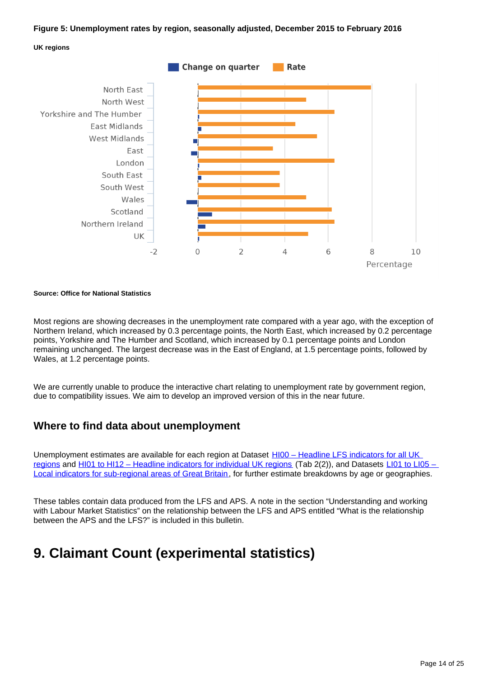#### **Figure 5: Unemployment rates by region, seasonally adjusted, December 2015 to February 2016**





#### **Source: Office for National Statistics**

Most regions are showing decreases in the unemployment rate compared with a year ago, with the exception of Northern Ireland, which increased by 0.3 percentage points, the North East, which increased by 0.2 percentage points, Yorkshire and The Humber and Scotland, which increased by 0.1 percentage points and London remaining unchanged. The largest decrease was in the East of England, at 1.5 percentage points, followed by Wales, at 1.2 percentage points.

We are currently unable to produce the interactive chart relating to unemployment rate by government region, due to compatibility issues. We aim to develop an improved version of this in the near future.

#### **Where to find data about unemployment**

Unemployment estimates are available for each region at Dataset HI00 - Headline LFS indicators for all UK [regions](http://www.ons.gov.uk/employmentandlabourmarket/peopleinwork/employmentandemployeetypes/datasets/headlinelabourforcesurveyindicatorsforallregionshi00) and [HI01 to HI12 – Headline indicators for individual UK regions](http://www.ons.gov.uk/employmentandlabourmarket/peopleinwork/employmentandemployeetypes/bulletins/regionallabourmarket/april2016/relateddata) (Tab 2(2)), and Datasets [LI01 to LI05 –](http://www.ons.gov.uk/employmentandlabourmarket/peopleinwork/employmentandemployeetypes/bulletins/regionallabourmarket/april2016/relateddata)  [Local indicators for sub-regional areas of Great Britain](http://www.ons.gov.uk/employmentandlabourmarket/peopleinwork/employmentandemployeetypes/bulletins/regionallabourmarket/april2016/relateddata), for further estimate breakdowns by age or geographies.

These tables contain data produced from the LFS and APS. A note in the section "Understanding and working with Labour Market Statistics" on the relationship between the LFS and APS entitled "What is the relationship between the APS and the LFS?" is included in this bulletin.

## <span id="page-13-0"></span>**9. Claimant Count (experimental statistics)**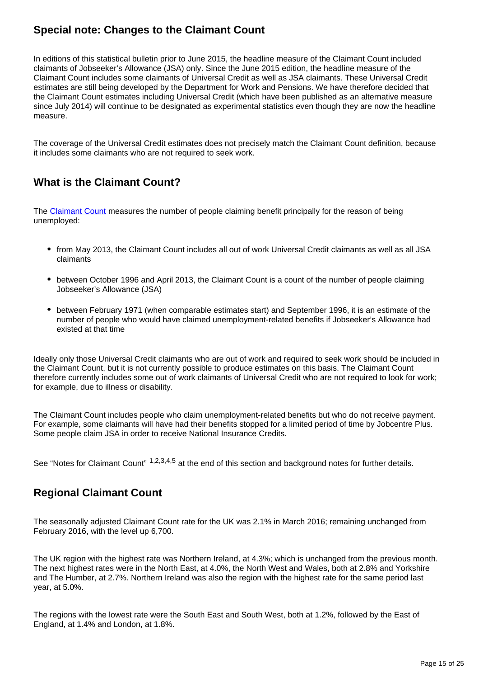## **Special note: Changes to the Claimant Count**

In editions of this statistical bulletin prior to June 2015, the headline measure of the Claimant Count included claimants of Jobseeker's Allowance (JSA) only. Since the June 2015 edition, the headline measure of the Claimant Count includes some claimants of Universal Credit as well as JSA claimants. These Universal Credit estimates are still being developed by the Department for Work and Pensions. We have therefore decided that the Claimant Count estimates including Universal Credit (which have been published as an alternative measure since July 2014) will continue to be designated as experimental statistics even though they are now the headline measure.

The coverage of the Universal Credit estimates does not precisely match the Claimant Count definition, because it includes some claimants who are not required to seek work.

## **What is the Claimant Count?**

The [Claimant Count](http://www.ons.gov.uk/employmentandlabourmarket/peopleinwork/employmentandemployeetypes/qmis/claimantcountqmi) measures the number of people claiming benefit principally for the reason of being unemployed:

- from May 2013, the Claimant Count includes all out of work Universal Credit claimants as well as all JSA claimants
- between October 1996 and April 2013, the Claimant Count is a count of the number of people claiming Jobseeker's Allowance (JSA)
- between February 1971 (when comparable estimates start) and September 1996, it is an estimate of the number of people who would have claimed unemployment-related benefits if Jobseeker's Allowance had existed at that time

Ideally only those Universal Credit claimants who are out of work and required to seek work should be included in the Claimant Count, but it is not currently possible to produce estimates on this basis. The Claimant Count therefore currently includes some out of work claimants of Universal Credit who are not required to look for work; for example, due to illness or disability.

The Claimant Count includes people who claim unemployment-related benefits but who do not receive payment. For example, some claimants will have had their benefits stopped for a limited period of time by Jobcentre Plus. Some people claim JSA in order to receive National Insurance Credits.

See "Notes for Claimant Count" <sup>1,2,3,4,5</sup> at the end of this section and background notes for further details.

### **Regional Claimant Count**

The seasonally adjusted Claimant Count rate for the UK was 2.1% in March 2016; remaining unchanged from February 2016, with the level up 6,700.

The UK region with the highest rate was Northern Ireland, at 4.3%; which is unchanged from the previous month. The next highest rates were in the North East, at 4.0%, the North West and Wales, both at 2.8% and Yorkshire and The Humber, at 2.7%. Northern Ireland was also the region with the highest rate for the same period last year, at 5.0%.

The regions with the lowest rate were the South East and South West, both at 1.2%, followed by the East of England, at 1.4% and London, at 1.8%.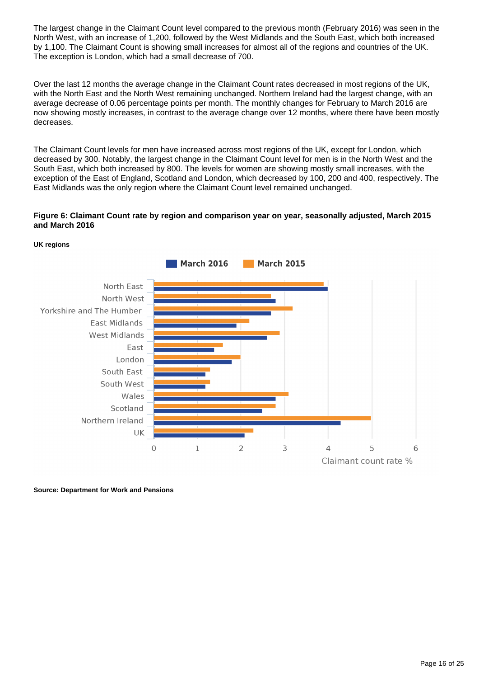The largest change in the Claimant Count level compared to the previous month (February 2016) was seen in the North West, with an increase of 1,200, followed by the West Midlands and the South East, which both increased by 1,100. The Claimant Count is showing small increases for almost all of the regions and countries of the UK. The exception is London, which had a small decrease of 700.

Over the last 12 months the average change in the Claimant Count rates decreased in most regions of the UK, with the North East and the North West remaining unchanged. Northern Ireland had the largest change, with an average decrease of 0.06 percentage points per month. The monthly changes for February to March 2016 are now showing mostly increases, in contrast to the average change over 12 months, where there have been mostly decreases.

The Claimant Count levels for men have increased across most regions of the UK, except for London, which decreased by 300. Notably, the largest change in the Claimant Count level for men is in the North West and the South East, which both increased by 800. The levels for women are showing mostly small increases, with the exception of the East of England, Scotland and London, which decreased by 100, 200 and 400, respectively. The East Midlands was the only region where the Claimant Count level remained unchanged.

#### **Figure 6: Claimant Count rate by region and comparison year on year, seasonally adjusted, March 2015 and March 2016**



**UK regions**

**Source: Department for Work and Pensions**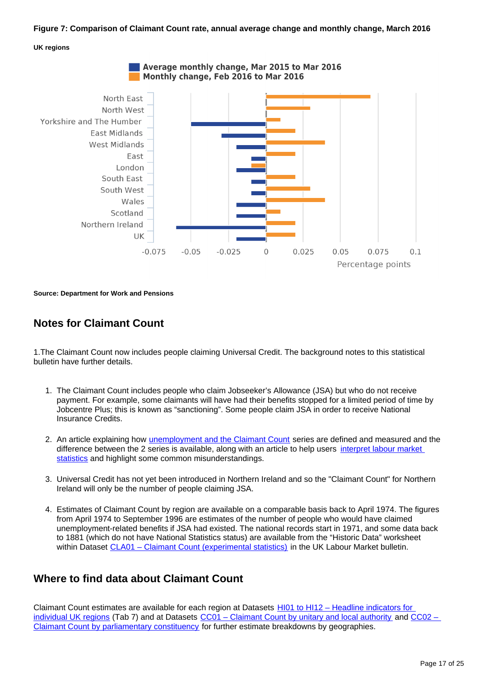#### **Figure 7: Comparison of Claimant Count rate, annual average change and monthly change, March 2016**

#### **UK regions**





**Source: Department for Work and Pensions**

### **Notes for Claimant Count**

1.The Claimant Count now includes people claiming Universal Credit. The background notes to this statistical bulletin have further details.

- 1. The Claimant Count includes people who claim Jobseeker's Allowance (JSA) but who do not receive payment. For example, some claimants will have had their benefits stopped for a limited period of time by Jobcentre Plus; this is known as "sanctioning". Some people claim JSA in order to receive National Insurance Credits.
- 2. An article explaining how [unemployment and the Claimant Count](http://webarchive.nationalarchives.gov.uk/20160105160709/http:/www.ons.gov.uk/ons/guide-method/method-quality/specific/labour-market/claimant-count/index.html) series are defined and measured and the difference between the 2 series is available, along with an article to help users [interpret labour market](http://www.ons.gov.uk/ons/rel/lms/labour-market-guidance/interpreting-labour-market-statistics/interpreting-lm-statistics.html)  [statistics](http://www.ons.gov.uk/ons/rel/lms/labour-market-guidance/interpreting-labour-market-statistics/interpreting-lm-statistics.html) and highlight some common misunderstandings.
- 3. Universal Credit has not yet been introduced in Northern Ireland and so the "Claimant Count" for Northern Ireland will only be the number of people claiming JSA.
- 4. Estimates of Claimant Count by region are available on a comparable basis back to April 1974. The figures from April 1974 to September 1996 are estimates of the number of people who would have claimed unemployment-related benefits if JSA had existed. The national records start in 1971, and some data back to 1881 (which do not have National Statistics status) are available from the "Historic Data" worksheet within Dataset [CLA01 – Claimant Count \(experimental statistics\)](http://www.ons.gov.uk/employmentandlabourmarket/peoplenotinwork/outofworkbenefits/datasets/claimantcountcla01) in the UK Labour Market bulletin.

### **Where to find data about Claimant Count**

Claimant Count estimates are available for each region at Datasets [HI01 to HI12 – Headline indicators for](http://www.ons.gov.uk/employmentandlabourmarket/peopleinwork/employmentandemployeetypes/bulletins/regionallabourmarket/april2016/relateddata)  [individual UK regions](http://www.ons.gov.uk/employmentandlabourmarket/peopleinwork/employmentandemployeetypes/bulletins/regionallabourmarket/april2016/relateddata) (Tab 7) and at Datasets [CC01 – Claimant Count by unitary and local authority](http://www.ons.gov.uk/employmentandlabourmarket/peoplenotinwork/unemployment/datasets/claimantcountbyunitaryandlocalauthorityexperimental) and [CC02 –](http://www.ons.gov.uk/employmentandlabourmarket/peoplenotinwork/unemployment/datasets/claimantcountbyparliamentaryconstituencyexperimental)  [Claimant Count by parliamentary constituency](http://www.ons.gov.uk/employmentandlabourmarket/peoplenotinwork/unemployment/datasets/claimantcountbyparliamentaryconstituencyexperimental) for further estimate breakdowns by geographies.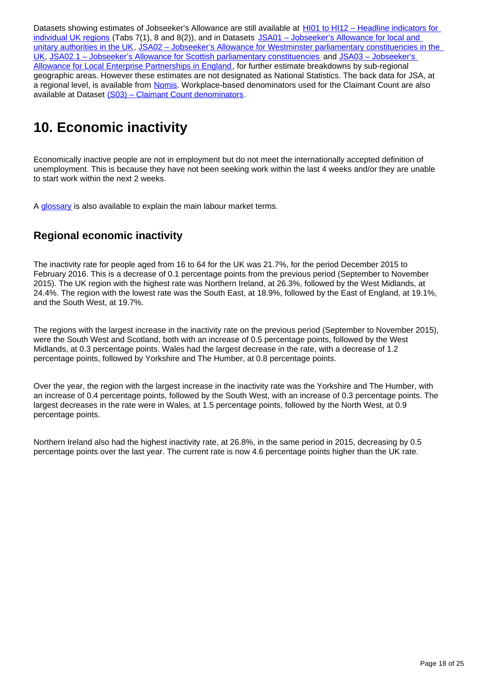Datasets showing estimates of Jobseeker's Allowance are still available at HI01 to HI12 - Headline indicators for [individual UK regions](http://www.ons.gov.uk/employmentandlabourmarket/peopleinwork/employmentandemployeetypes/bulletins/regionallabourmarket/april2016/relateddata) (Tabs 7(1), 8 and 8(2)), and in Datasets JSA01 – Jobseeker's Allowance for local and [unitary authorities in the UK](http://www.ons.gov.uk/employmentandlabourmarket/peoplenotinwork/unemployment/datasets/jobseekersallowanceforlocalandunitaryauthoritiesjsa01), [JSA02 – Jobseeker's Allowance for Westminster parliamentary constituencies in the](http://www.ons.gov.uk/employmentandlabourmarket/peoplenotinwork/unemployment/datasets/jobseekersallowanceforparliamentaryconstituenciesjsa02)  [UK,](http://www.ons.gov.uk/employmentandlabourmarket/peoplenotinwork/unemployment/datasets/jobseekersallowanceforparliamentaryconstituenciesjsa02) [JSA02.1 – Jobseeker's Allowance for Scottish parliamentary constituencies](http://www.ons.gov.uk/employmentandlabourmarket/peoplenotinwork/unemployment/datasets/jobseekersallowanceforscottishparliamentaryconstituenciesjsa021) and [JSA03 – Jobseeker's](http://www.ons.gov.uk/employmentandlabourmarket/peoplenotinwork/unemployment/datasets/jobseekersallowanceforlocalenterprisepartnershipsjsa03)  [Allowance for Local Enterprise Partnerships in England,](http://www.ons.gov.uk/employmentandlabourmarket/peoplenotinwork/unemployment/datasets/jobseekersallowanceforlocalenterprisepartnershipsjsa03) for further estimate breakdowns by sub-regional geographic areas. However these estimates are not designated as National Statistics. The back data for JSA, at a regional level, is available from [Nomis](http://www.nomisweb.co.uk/). Workplace-based denominators used for the Claimant Count are also available at Dataset [\(S03\) – Claimant Count denominators](http://www.ons.gov.uk/employmentandlabourmarket/peoplenotinwork/unemployment/datasets/workplacebaseddenominatorsusedfortheclaimantcountforregionallabourmarketstatisticss03).

## <span id="page-17-0"></span>**10. Economic inactivity**

Economically inactive people are not in employment but do not meet the internationally accepted definition of unemployment. This is because they have not been seeking work within the last 4 weeks and/or they are unable to start work within the next 2 weeks.

A [glossary](http://www.ons.gov.uk/employmentandlabourmarket/peopleinwork/employmentandemployeetypes/methodologies/glossaryoflabourmarketterms) is also available to explain the main labour market terms.

## **Regional economic inactivity**

The inactivity rate for people aged from 16 to 64 for the UK was 21.7%, for the period December 2015 to February 2016. This is a decrease of 0.1 percentage points from the previous period (September to November 2015). The UK region with the highest rate was Northern Ireland, at 26.3%, followed by the West Midlands, at 24.4%. The region with the lowest rate was the South East, at 18.9%, followed by the East of England, at 19.1%, and the South West, at 19.7%.

The regions with the largest increase in the inactivity rate on the previous period (September to November 2015), were the South West and Scotland, both with an increase of 0.5 percentage points, followed by the West Midlands, at 0.3 percentage points. Wales had the largest decrease in the rate, with a decrease of 1.2 percentage points, followed by Yorkshire and The Humber, at 0.8 percentage points.

Over the year, the region with the largest increase in the inactivity rate was the Yorkshire and The Humber, with an increase of 0.4 percentage points, followed by the South West, with an increase of 0.3 percentage points. The largest decreases in the rate were in Wales, at 1.5 percentage points, followed by the North West, at 0.9 percentage points.

Northern Ireland also had the highest inactivity rate, at 26.8%, in the same period in 2015, decreasing by 0.5 percentage points over the last year. The current rate is now 4.6 percentage points higher than the UK rate.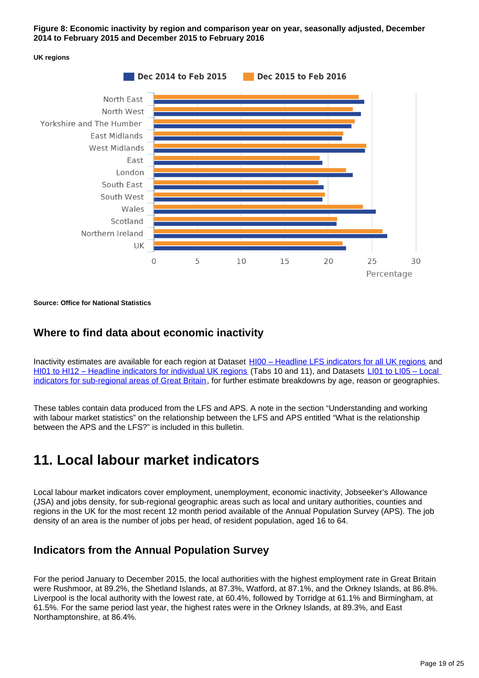#### **Figure 8: Economic inactivity by region and comparison year on year, seasonally adjusted, December 2014 to February 2015 and December 2015 to February 2016**





**Source: Office for National Statistics**

#### **Where to find data about economic inactivity**

Inactivity estimates are available for each region at Dataset [HI00 – Headline LFS indicators for all UK regions](http://www.ons.gov.uk/employmentandlabourmarket/peopleinwork/employmentandemployeetypes/datasets/headlinelabourforcesurveyindicatorsforallregionshi00) and [HI01 to HI12 – Headline indicators for individual UK regions](http://www.ons.gov.uk/employmentandlabourmarket/peopleinwork/employmentandemployeetypes/bulletins/regionallabourmarket/april2016/relateddata) (Tabs 10 and 11), and Datasets LI01 to LI05 – Local [indicators for sub-regional areas of Great Britain](http://www.ons.gov.uk/employmentandlabourmarket/peopleinwork/employmentandemployeetypes/bulletins/regionallabourmarket/april2016/relateddata), for further estimate breakdowns by age, reason or geographies.

These tables contain data produced from the LFS and APS. A note in the section "Understanding and working with labour market statistics" on the relationship between the LFS and APS entitled "What is the relationship between the APS and the LFS?" is included in this bulletin.

## <span id="page-18-0"></span>**11. Local labour market indicators**

Local labour market indicators cover employment, unemployment, economic inactivity, Jobseeker's Allowance (JSA) and jobs density, for sub-regional geographic areas such as local and unitary authorities, counties and regions in the UK for the most recent 12 month period available of the Annual Population Survey (APS). The job density of an area is the number of jobs per head, of resident population, aged 16 to 64.

### **Indicators from the Annual Population Survey**

For the period January to December 2015, the local authorities with the highest employment rate in Great Britain were Rushmoor, at 89.2%, the Shetland Islands, at 87.3%, Watford, at 87.1%, and the Orkney Islands, at 86.8%. Liverpool is the local authority with the lowest rate, at 60.4%, followed by Torridge at 61.1% and Birmingham, at 61.5%. For the same period last year, the highest rates were in the Orkney Islands, at 89.3%, and East Northamptonshire, at 86.4%.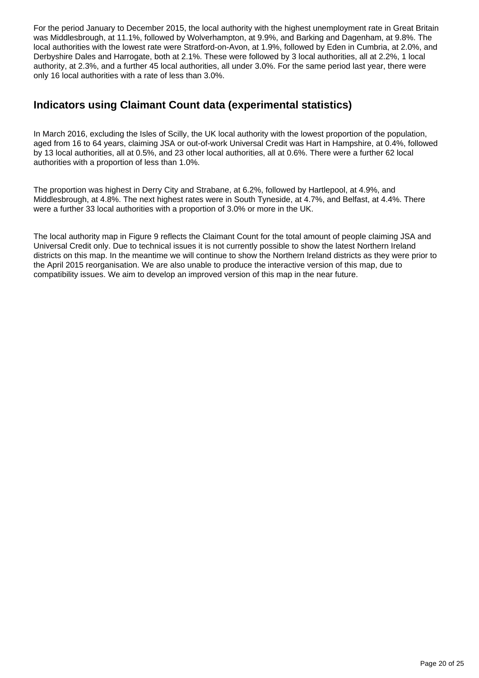For the period January to December 2015, the local authority with the highest unemployment rate in Great Britain was Middlesbrough, at 11.1%, followed by Wolverhampton, at 9.9%, and Barking and Dagenham, at 9.8%. The local authorities with the lowest rate were Stratford-on-Avon, at 1.9%, followed by Eden in Cumbria, at 2.0%, and Derbyshire Dales and Harrogate, both at 2.1%. These were followed by 3 local authorities, all at 2.2%, 1 local authority, at 2.3%, and a further 45 local authorities, all under 3.0%. For the same period last year, there were only 16 local authorities with a rate of less than 3.0%.

### **Indicators using Claimant Count data (experimental statistics)**

In March 2016, excluding the Isles of Scilly, the UK local authority with the lowest proportion of the population, aged from 16 to 64 years, claiming JSA or out-of-work Universal Credit was Hart in Hampshire, at 0.4%, followed by 13 local authorities, all at 0.5%, and 23 other local authorities, all at 0.6%. There were a further 62 local authorities with a proportion of less than 1.0%.

The proportion was highest in Derry City and Strabane, at 6.2%, followed by Hartlepool, at 4.9%, and Middlesbrough, at 4.8%. The next highest rates were in South Tyneside, at 4.7%, and Belfast, at 4.4%. There were a further 33 local authorities with a proportion of 3.0% or more in the UK.

The local authority map in Figure 9 reflects the Claimant Count for the total amount of people claiming JSA and Universal Credit only. Due to technical issues it is not currently possible to show the latest Northern Ireland districts on this map. In the meantime we will continue to show the Northern Ireland districts as they were prior to the April 2015 reorganisation. We are also unable to produce the interactive version of this map, due to compatibility issues. We aim to develop an improved version of this map in the near future.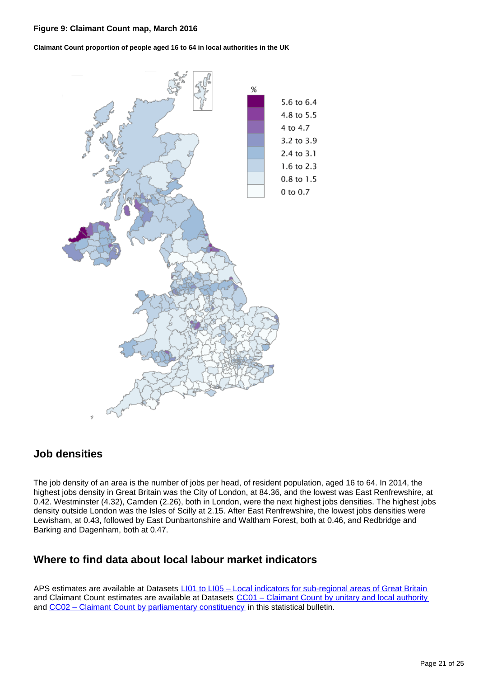#### **Figure 9: Claimant Count map, March 2016**

**Claimant Count proportion of people aged 16 to 64 in local authorities in the UK**



#### **Job densities**

The job density of an area is the number of jobs per head, of resident population, aged 16 to 64. In 2014, the highest jobs density in Great Britain was the City of London, at 84.36, and the lowest was East Renfrewshire, at 0.42. Westminster (4.32), Camden (2.26), both in London, were the next highest jobs densities. The highest jobs density outside London was the Isles of Scilly at 2.15. After East Renfrewshire, the lowest jobs densities were Lewisham, at 0.43, followed by East Dunbartonshire and Waltham Forest, both at 0.46, and Redbridge and Barking and Dagenham, both at 0.47.

### **Where to find data about local labour market indicators**

APS estimates are available at Datasets [LI01 to LI05 – Local indicators for sub-regional areas of Great Britain](http://www.ons.gov.uk/employmentandlabourmarket/peopleinwork/employmentandemployeetypes/bulletins/regionallabourmarket/april2016/relateddata) and Claimant Count estimates are available at Datasets [CC01 – Claimant Count by unitary and local authority](http://www.ons.gov.uk/employmentandlabourmarket/peoplenotinwork/unemployment/datasets/claimantcountbyunitaryandlocalauthorityexperimental) and [CC02 – Claimant Count by parliamentary constituency](http://www.ons.gov.uk/employmentandlabourmarket/peoplenotinwork/unemployment/datasets/claimantcountbyparliamentaryconstituencyexperimental) in this statistical bulletin.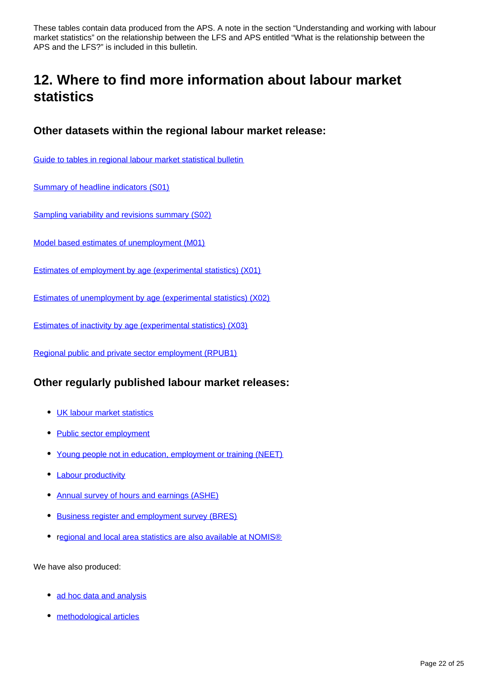These tables contain data produced from the APS. A note in the section "Understanding and working with labour market statistics" on the relationship between the LFS and APS entitled "What is the relationship between the APS and the LFS?" is included in this bulletin.

## <span id="page-21-0"></span>**12. Where to find more information about labour market statistics**

### **Other datasets within the regional labour market release:**

[Guide to tables in regional labour market statistical bulletin](http://www.ons.gov.uk/employmentandlabourmarket/peopleinwork/employmentandemployeetypes/datasets/guidetotablesinregionallabourmarketstatisticalbulletin)

[Summary of headline indicators \(S01\)](http://www.ons.gov.uk/employmentandlabourmarket/peopleinwork/employmentandemployeetypes/datasets/nationallabourmarketsummarybyregions01)

[Sampling variability and revisions summary \(S02\)](http://www.ons.gov.uk/employmentandlabourmarket/peopleinwork/employmentandemployeetypes/datasets/samplingvariabilityandrevisionssummaryforregionallabourmarketstatisticss02)

[Model based estimates of unemployment \(M01\)](http://www.ons.gov.uk/employmentandlabourmarket/peoplenotinwork/unemployment/datasets/modelledunemploymentforlocalandunitaryauthoritiesm01)

[Estimates of employment by age \(experimental statistics\) \(X01\)](http://www.ons.gov.uk/employmentandlabourmarket/peopleinwork/employmentandemployeetypes/datasets/regionalemploymentbyagex01)

[Estimates of unemployment by age \(experimental statistics\) \(X02\)](http://www.ons.gov.uk/employmentandlabourmarket/peoplenotinwork/unemployment/datasets/regionalunemploymentbyagex02)

[Estimates of inactivity by age \(experimental statistics\) \(X03\)](http://www.ons.gov.uk/employmentandlabourmarket/peoplenotinwork/unemployment/datasets/regionalinactivitybyagex03)

[Regional public and private sector employment \(RPUB1\)](http://www.ons.gov.uk/employmentandlabourmarket/peopleinwork/employmentandemployeetypes/datasets/regionalpublicandprivateemployment)

#### **Other regularly published labour market releases:**

- [UK labour market statistics](http://www.ons.gov.uk/employmentandlabourmarket/peopleinwork/employmentandemployeetypes/bulletins/uklabourmarket/previousReleases)
- [Public sector employment](http://www.ons.gov.uk/employmentandlabourmarket/peopleinwork/publicsectorpersonnel/bulletins/publicsectoremployment/previousReleases)
- [Young people not in education, employment or training \(NEET\)](http://www.ons.gov.uk/employmentandlabourmarket/peoplenotinwork/unemployment/bulletins/youngpeoplenotineducationemploymentortrainingneet/previousReleases)
- [Labour productivity](http://www.ons.gov.uk/employmentandlabourmarket/peopleinwork/labourproductivity/bulletins/labourproductivity/previousReleases)
- [Annual survey of hours and earnings \(ASHE\)](http://www.ons.gov.uk/employmentandlabourmarket/peopleinwork/earningsandworkinghours/bulletins/annualsurveyofhoursandearnings/previousReleases)
- [Business register and employment survey \(BRES\)](http://www.ons.gov.uk/employmentandlabourmarket/peopleinwork/employmentandemployeetypes/bulletins/businessregisterandemploymentsurveybresprovisionalresults/previousReleases)
- r[egional and local area statistics are also available at NOMIS®](http://www.nomisweb.co.uk/)

We have also produced:

- [ad hoc data and analysis](http://www.ons.gov.uk/ons/about-ons/business-transparency/freedom-of-information/what-can-i-request/published-ad-hoc-data/labour/index.html)
- [methodological articles](http://www.ons.gov.uk/ons/guide-method/method-quality/specific/labour-market/articles-and-reports/index.html)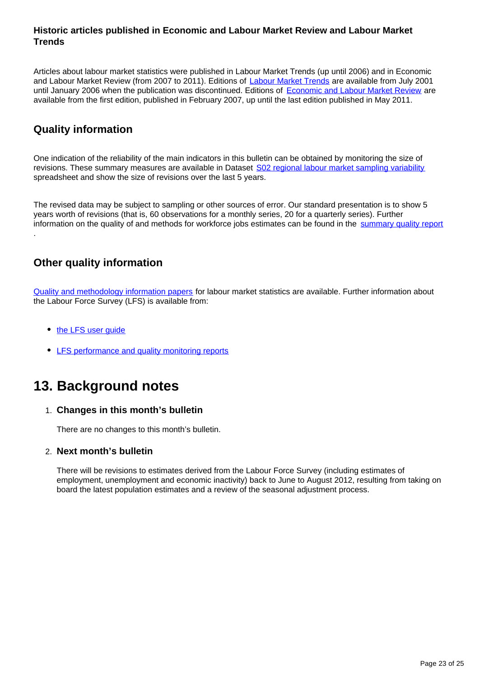#### **Historic articles published in Economic and Labour Market Review and Labour Market Trends**

Articles about labour market statistics were published in Labour Market Trends (up until 2006) and in Economic and Labour Market Review (from 2007 to 2011). Editions of [Labour Market Trends](http://www.ons.gov.uk/ons/rel/lms/labour-market-trends--discontinued-/index.html) are available from July 2001 until January 2006 when the publication was discontinued. Editions of [Economic and Labour Market Review](http://www.ons.gov.uk/ons/rel/elmr/economic-and-labour-market-review/index.html) are available from the first edition, published in February 2007, up until the last edition published in May 2011.

### **Quality information**

One indication of the reliability of the main indicators in this bulletin can be obtained by monitoring the size of revisions. These summary measures are available in Dataset [S02 regional labour market sampling variability](http://www.ons.gov.uk/employmentandlabourmarket/peopleinwork/employmentandemployeetypes/datasets/samplingvariabilityandrevisionssummaryforregionallabourmarketstatisticss02) spreadsheet and show the size of revisions over the last 5 years.

The revised data may be subject to sampling or other sources of error. Our standard presentation is to show 5 years worth of revisions (that is, 60 observations for a monthly series, 20 for a quarterly series). Further information on the quality of and methods for workforce jobs estimates can be found in the [summary quality report](http://www.ons.gov.uk/employmentandlabourmarket/peopleinwork/employmentandemployeetypes/qmis/workforcejobsqmi) .

## **Other quality information**

[Quality and methodology information papers](http://www.ons.gov.uk/employmentandlabourmarket/peopleinwork/employmentandemployeetypes/qmis/labourmarketqmi) for labour market statistics are available. Further information about the Labour Force Survey (LFS) is available from:

- the LFS user quide
- [LFS performance and quality monitoring reports](http://www.ons.gov.uk/ons/guide-method/method-quality/specific/labour-market/labour-force-survey-quality-measures/index.html)

## <span id="page-22-0"></span>**13. Background notes**

#### 1. **Changes in this month's bulletin**

There are no changes to this month's bulletin.

#### 2. **Next month's bulletin**

There will be revisions to estimates derived from the Labour Force Survey (including estimates of employment, unemployment and economic inactivity) back to June to August 2012, resulting from taking on board the latest population estimates and a review of the seasonal adjustment process.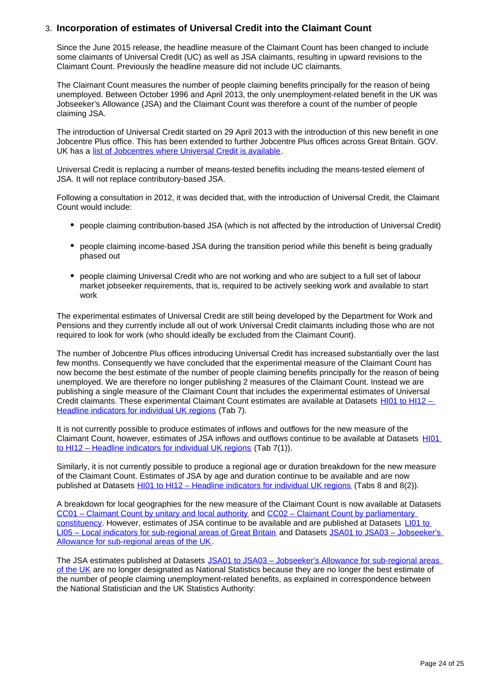#### 3. **Incorporation of estimates of Universal Credit into the Claimant Count**

Since the June 2015 release, the headline measure of the Claimant Count has been changed to include some claimants of Universal Credit (UC) as well as JSA claimants, resulting in upward revisions to the Claimant Count. Previously the headline measure did not include UC claimants.

The Claimant Count measures the number of people claiming benefits principally for the reason of being unemployed. Between October 1996 and April 2013, the only unemployment-related benefit in the UK was Jobseeker's Allowance (JSA) and the Claimant Count was therefore a count of the number of people claiming JSA.

The introduction of Universal Credit started on 29 April 2013 with the introduction of this new benefit in one Jobcentre Plus office. This has been extended to further Jobcentre Plus offices across Great Britain. GOV. UK has a [list of Jobcentres where Universal Credit is available](https://www.gov.uk/jobcentres-where-you-can-claim-universal-credit).

Universal Credit is replacing a number of means-tested benefits including the means-tested element of JSA. It will not replace contributory-based JSA.

Following a consultation in 2012, it was decided that, with the introduction of Universal Credit, the Claimant Count would include:

- people claiming contribution-based JSA (which is not affected by the introduction of Universal Credit)
- people claiming income-based JSA during the transition period while this benefit is being gradually phased out
- people claiming Universal Credit who are not working and who are subject to a full set of labour market jobseeker requirements, that is, required to be actively seeking work and available to start work

The experimental estimates of Universal Credit are still being developed by the Department for Work and Pensions and they currently include all out of work Universal Credit claimants including those who are not required to look for work (who should ideally be excluded from the Claimant Count).

The number of Jobcentre Plus offices introducing Universal Credit has increased substantially over the last few months. Consequently we have concluded that the experimental measure of the Claimant Count has now become the best estimate of the number of people claiming benefits principally for the reason of being unemployed. We are therefore no longer publishing 2 measures of the Claimant Count. Instead we are publishing a single measure of the Claimant Count that includes the experimental estimates of Universal Credit claimants. These experimental Claimant Count estimates are available at Datasets HI01 to HI12 -[Headline indicators for individual UK regions](http://www.ons.gov.uk/employmentandlabourmarket/peopleinwork/employmentandemployeetypes/bulletins/regionallabourmarket/april2016/relateddata) (Tab 7).

It is not currently possible to produce estimates of inflows and outflows for the new measure of the Claimant Count, however, estimates of JSA inflows and outflows continue to be available at Datasets [HI01](http://www.ons.gov.uk/employmentandlabourmarket/peopleinwork/employmentandemployeetypes/bulletins/regionallabourmarket/april2016/relateddata)  [to HI12 – Headline indicators for individual UK regions](http://www.ons.gov.uk/employmentandlabourmarket/peopleinwork/employmentandemployeetypes/bulletins/regionallabourmarket/april2016/relateddata) (Tab 7(1)).

Similarly, it is not currently possible to produce a regional age or duration breakdown for the new measure of the Claimant Count. Estimates of JSA by age and duration continue to be available and are now published at Datasets [HI01 to HI12 – Headline indicators for individual UK regions](http://www.ons.gov.uk/employmentandlabourmarket/peopleinwork/employmentandemployeetypes/bulletins/regionallabourmarket/april2016/relateddata) (Tabs 8 and 8(2)).

A breakdown for local geographies for the new measure of the Claimant Count is now available at Datasets [CC01 – Claimant Count by unitary and local authority](http://www.ons.gov.uk/employmentandlabourmarket/peoplenotinwork/unemployment/datasets/claimantcountbyunitaryandlocalauthorityexperimental) and [CC02 – Claimant Count by parliamentary](http://www.ons.gov.uk/employmentandlabourmarket/peoplenotinwork/unemployment/datasets/claimantcountbyparliamentaryconstituencyexperimental)  [constituency.](http://www.ons.gov.uk/employmentandlabourmarket/peoplenotinwork/unemployment/datasets/claimantcountbyparliamentaryconstituencyexperimental) However, estimates of JSA continue to be available and are published at Datasets LI01 to [LI05 – Local indicators for sub-regional areas of Great Britain](http://www.ons.gov.uk/employmentandlabourmarket/peopleinwork/employmentandemployeetypes/bulletins/regionallabourmarket/april2016/relateddata) and Datasets [JSA01 to JSA03 – Jobseeker's](http://www.ons.gov.uk/employmentandlabourmarket/peopleinwork/employmentandemployeetypes/bulletins/regionallabourmarket/april2016/relateddata)  [Allowance for sub-regional areas of the UK](http://www.ons.gov.uk/employmentandlabourmarket/peopleinwork/employmentandemployeetypes/bulletins/regionallabourmarket/april2016/relateddata).

The JSA estimates published at Datasets [JSA01 to JSA03 – Jobseeker's Allowance for sub-regional areas](http://www.ons.gov.uk/employmentandlabourmarket/peopleinwork/employmentandemployeetypes/bulletins/regionallabourmarket/april2016/relateddata)  [of the UK](http://www.ons.gov.uk/employmentandlabourmarket/peopleinwork/employmentandemployeetypes/bulletins/regionallabourmarket/april2016/relateddata) are no longer designated as National Statistics because they are no longer the best estimate of the number of people claiming unemployment-related benefits, as explained in correspondence between the National Statistician and the UK Statistics Authority: